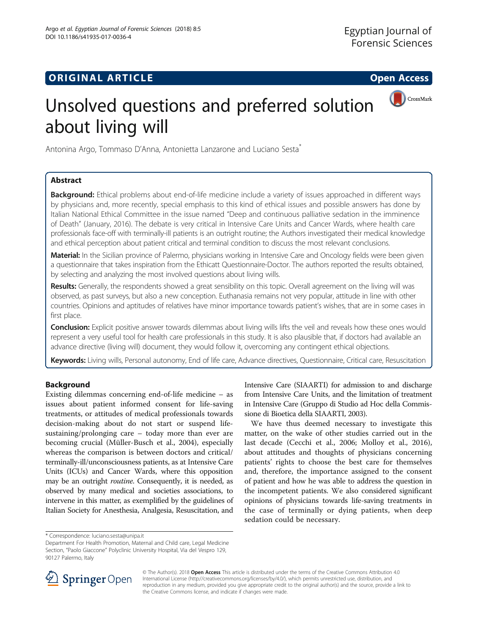## **ORIGINAL ARTICLE CONSERVANCE IN A LOCAL CONSERVANCE IN A LOCAL CONSERVANCE IN A LOCAL CONSERVANCE IN A LOCAL CONSERVANCE IN A LOCAL CONSERVANCE IN A LOCAL CONSERVANCE IN A LOCAL CONSERVANCE IN A LOCAL CONSERVANCE IN A L**



# Unsolved questions and preferred solution about living will

Antonina Argo, Tommaso D'Anna, Antonietta Lanzarone and Luciano Sesta<sup>\*</sup>

## Abstract

**Background:** Ethical problems about end-of-life medicine include a variety of issues approached in different ways by physicians and, more recently, special emphasis to this kind of ethical issues and possible answers has done by Italian National Ethical Committee in the issue named "Deep and continuous palliative sedation in the imminence of Death" (January, 2016). The debate is very critical in Intensive Care Units and Cancer Wards, where health care professionals face-off with terminally-ill patients is an outright routine; the Authors investigated their medical knowledge and ethical perception about patient critical and terminal condition to discuss the most relevant conclusions.

Material: In the Sicilian province of Palermo, physicians working in Intensive Care and Oncology fields were been given a questionnaire that takes inspiration from the Ethicatt Questionnaire-Doctor. The authors reported the results obtained, by selecting and analyzing the most involved questions about living wills.

Results: Generally, the respondents showed a great sensibility on this topic. Overall agreement on the living will was observed, as past surveys, but also a new conception. Euthanasia remains not very popular, attitude in line with other countries. Opinions and aptitudes of relatives have minor importance towards patient's wishes, that are in some cases in first place.

Conclusion: Explicit positive answer towards dilemmas about living wills lifts the veil and reveals how these ones would represent a very useful tool for health care professionals in this study. It is also plausible that, if doctors had available an advance directive (living will) document, they would follow it, overcoming any contingent ethical objections.

Keywords: Living wills, Personal autonomy, End of life care, Advance directives, Questionnaire, Critical care, Resuscitation

## Background

Existing dilemmas concerning end-of-life medicine – as issues about patient informed consent for life-saving treatments, or attitudes of medical professionals towards decision-making about do not start or suspend lifesustaining/prolonging care – today more than ever are becoming crucial (Müller-Busch et al., [2004](#page-5-0)), especially whereas the comparison is between doctors and critical/ terminally-ill/unconsciousness patients, as at Intensive Care Units (ICUs) and Cancer Wards, where this opposition may be an outright routine. Consequently, it is needed, as observed by many medical and societies associations, to intervene in this matter, as exemplified by the guidelines of Italian Society for Anesthesia, Analgesia, Resuscitation, and

Intensive Care (SIAARTI) for admission to and discharge from Intensive Care Units, and the limitation of treatment in Intensive Care (Gruppo di Studio ad Hoc della Commissione di Bioetica della SIAARTI, [2003\)](#page-5-0).

We have thus deemed necessary to investigate this matter, on the wake of other studies carried out in the last decade (Cecchi et al., [2006;](#page-5-0) Molloy et al., [2016](#page-5-0)), about attitudes and thoughts of physicians concerning patients' rights to choose the best care for themselves and, therefore, the importance assigned to the consent of patient and how he was able to address the question in the incompetent patients. We also considered significant opinions of physicians towards life-saving treatments in the case of terminally or dying patients, when deep sedation could be necessary.

Department For Health Promotion, Maternal and Child care, Legal Medicine Section, "Paolo Giaccone" Polyclinic University Hospital, Via del Vespro 129, 90127 Palermo, Italy



© The Author(s). 2018 Open Access This article is distributed under the terms of the Creative Commons Attribution 4.0 International License ([http://creativecommons.org/licenses/by/4.0/\)](http://creativecommons.org/licenses/by/4.0/), which permits unrestricted use, distribution, and reproduction in any medium, provided you give appropriate credit to the original author(s) and the source, provide a link to the Creative Commons license, and indicate if changes were made.

<sup>\*</sup> Correspondence: [luciano.sesta@unipa.it](mailto:luciano.sesta@unipa.it)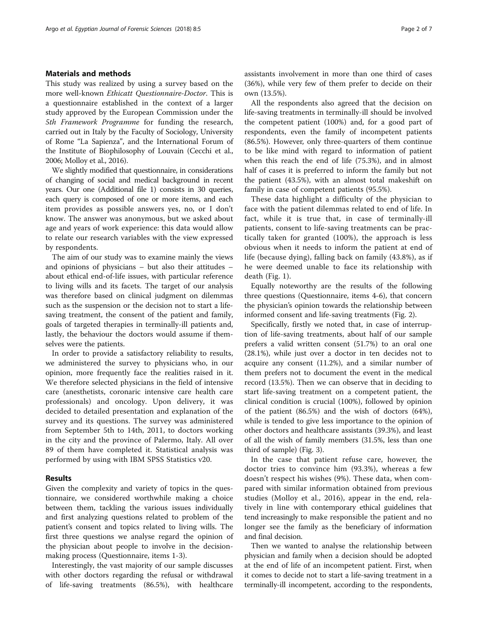#### Materials and methods

This study was realized by using a survey based on the more well-known Ethicatt Questionnaire-Doctor. This is a questionnaire established in the context of a larger study approved by the European Commission under the 5th Framework Programme for funding the research, carried out in Italy by the Faculty of Sociology, University of Rome "La Sapienza", and the International Forum of the Institute of Biophilosophy of Louvain (Cecchi et al., [2006;](#page-5-0) Molloy et al., [2016](#page-5-0)).

We slightly modified that questionnaire, in considerations of changing of social and medical background in recent years. Our one (Additional file [1\)](#page-5-0) consists in 30 queries, each query is composed of one or more items, and each item provides as possible answers yes, no, or I don't know. The answer was anonymous, but we asked about age and years of work experience: this data would allow to relate our research variables with the view expressed by respondents.

The aim of our study was to examine mainly the views and opinions of physicians – but also their attitudes – about ethical end-of-life issues, with particular reference to living wills and its facets. The target of our analysis was therefore based on clinical judgment on dilemmas such as the suspension or the decision not to start a lifesaving treatment, the consent of the patient and family, goals of targeted therapies in terminally-ill patients and, lastly, the behaviour the doctors would assume if themselves were the patients.

In order to provide a satisfactory reliability to results, we administered the survey to physicians who, in our opinion, more frequently face the realities raised in it. We therefore selected physicians in the field of intensive care (anesthetists, coronaric intensive care health care professionals) and oncology. Upon delivery, it was decided to detailed presentation and explanation of the survey and its questions. The survey was administered from September 5th to 14th, 2011, to doctors working in the city and the province of Palermo, Italy. All over 89 of them have completed it. Statistical analysis was performed by using with IBM SPSS Statistics v20.

#### Results

Given the complexity and variety of topics in the questionnaire, we considered worthwhile making a choice between them, tackling the various issues individually and first analyzing questions related to problem of the patient's consent and topics related to living wills. The first three questions we analyse regard the opinion of the physician about people to involve in the decisionmaking process (Questionnaire, items 1-3).

Interestingly, the vast majority of our sample discusses with other doctors regarding the refusal or withdrawal of life-saving treatments (86.5%), with healthcare assistants involvement in more than one third of cases (36%), while very few of them prefer to decide on their own (13.5%).

All the respondents also agreed that the decision on life-saving treatments in terminally-ill should be involved the competent patient (100%) and, for a good part of respondents, even the family of incompetent patients (86.5%). However, only three-quarters of them continue to be like mind with regard to information of patient when this reach the end of life (75.3%), and in almost half of cases it is preferred to inform the family but not the patient (43.5%), with an almost total makeshift on family in case of competent patients (95.5%).

These data highlight a difficulty of the physician to face with the patient dilemmas related to end of life. In fact, while it is true that, in case of terminally-ill patients, consent to life-saving treatments can be practically taken for granted (100%), the approach is less obvious when it needs to inform the patient at end of life (because dying), falling back on family (43.8%), as if he were deemed unable to face its relationship with death (Fig. [1](#page-2-0)).

Equally noteworthy are the results of the following three questions (Questionnaire, items 4-6), that concern the physician's opinion towards the relationship between informed consent and life-saving treatments (Fig. [2](#page-2-0)).

Specifically, firstly we noted that, in case of interruption of life-saving treatments, about half of our sample prefers a valid written consent (51.7%) to an oral one (28.1%), while just over a doctor in ten decides not to acquire any consent (11.2%), and a similar number of them prefers not to document the event in the medical record (13.5%). Then we can observe that in deciding to start life-saving treatment on a competent patient, the clinical condition is crucial (100%), followed by opinion of the patient (86.5%) and the wish of doctors (64%), while is tended to give less importance to the opinion of other doctors and healthcare assistants (39.3%), and least of all the wish of family members (31.5%, less than one third of sample) (Fig. [3\)](#page-3-0).

In the case that patient refuse care, however, the doctor tries to convince him (93.3%), whereas a few doesn't respect his wishes (9%). These data, when compared with similar information obtained from previous studies (Molloy et al., [2016](#page-5-0)), appear in the end, relatively in line with contemporary ethical guidelines that tend increasingly to make responsible the patient and no longer see the family as the beneficiary of information and final decision.

Then we wanted to analyse the relationship between physician and family when a decision should be adopted at the end of life of an incompetent patient. First, when it comes to decide not to start a life-saving treatment in a terminally-ill incompetent, according to the respondents,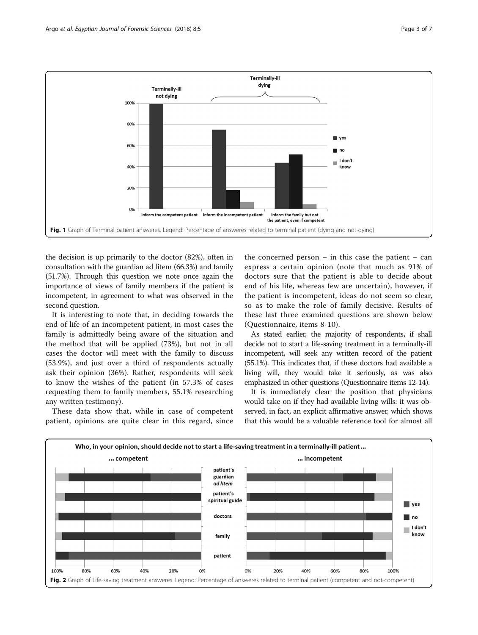<span id="page-2-0"></span>

the decision is up primarily to the doctor (82%), often in consultation with the guardian ad litem (66.3%) and family (51.7%). Through this question we note once again the importance of views of family members if the patient is incompetent, in agreement to what was observed in the second question.

It is interesting to note that, in deciding towards the end of life of an incompetent patient, in most cases the family is admittedly being aware of the situation and the method that will be applied (73%), but not in all cases the doctor will meet with the family to discuss (53.9%), and just over a third of respondents actually ask their opinion (36%). Rather, respondents will seek to know the wishes of the patient (in 57.3% of cases requesting them to family members, 55.1% researching any written testimony).

These data show that, while in case of competent patient, opinions are quite clear in this regard, since the concerned person  $-$  in this case the patient  $-$  can express a certain opinion (note that much as 91% of doctors sure that the patient is able to decide about end of his life, whereas few are uncertain), however, if the patient is incompetent, ideas do not seem so clear, so as to make the role of family decisive. Results of these last three examined questions are shown below (Questionnaire, items 8-10).

As stated earlier, the majority of respondents, if shall decide not to start a life-saving treatment in a terminally-ill incompetent, will seek any written record of the patient (55.1%). This indicates that, if these doctors had available a living will, they would take it seriously, as was also emphasized in other questions (Questionnaire items 12-14).

It is immediately clear the position that physicians would take on if they had available living wills: it was observed, in fact, an explicit affirmative answer, which shows that this would be a valuable reference tool for almost all

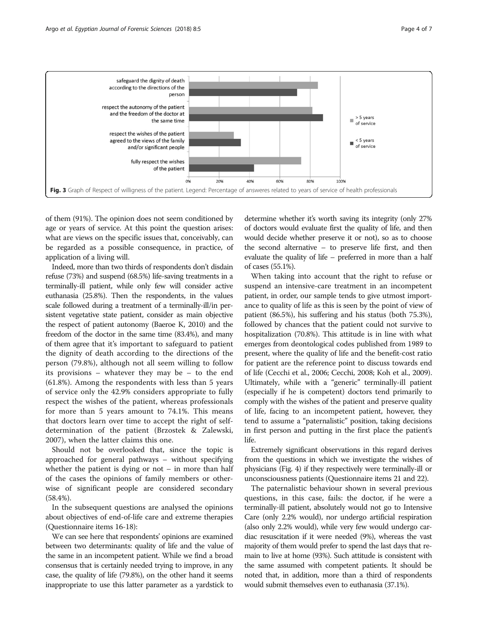<span id="page-3-0"></span>

of them (91%). The opinion does not seem conditioned by age or years of service. At this point the question arises: what are views on the specific issues that, conceivably, can be regarded as a possible consequence, in practice, of application of a living will.

Indeed, more than two thirds of respondents don't disdain refuse (73%) and suspend (68.5%) life-saving treatments in a terminally-ill patient, while only few will consider active euthanasia (25.8%). Then the respondents, in the values scale followed during a treatment of a terminally-ill/in persistent vegetative state patient, consider as main objective the respect of patient autonomy (Baeroe K, [2010](#page-5-0)) and the freedom of the doctor in the same time (83.4%), and many of them agree that it's important to safeguard to patient the dignity of death according to the directions of the person (79.8%), although not all seem willing to follow its provisions – whatever they may be – to the end (61.8%). Among the respondents with less than 5 years of service only the 42.9% considers appropriate to fully respect the wishes of the patient, whereas professionals for more than 5 years amount to 74.1%. This means that doctors learn over time to accept the right of selfdetermination of the patient (Brzostek & Zalewski, [2007\)](#page-5-0), when the latter claims this one.

Should not be overlooked that, since the topic is approached for general pathways – without specifying whether the patient is dying or not – in more than half of the cases the opinions of family members or otherwise of significant people are considered secondary (58.4%).

In the subsequent questions are analysed the opinions about objectives of end-of-life care and extreme therapies (Questionnaire items 16-18):

We can see here that respondents' opinions are examined between two determinants: quality of life and the value of the same in an incompetent patient. While we find a broad consensus that is certainly needed trying to improve, in any case, the quality of life (79.8%), on the other hand it seems inappropriate to use this latter parameter as a yardstick to determine whether it's worth saving its integrity (only 27% of doctors would evaluate first the quality of life, and then would decide whether preserve it or not), so as to choose the second alternative – to preserve life first, and then evaluate the quality of life – preferred in more than a half of cases (55.1%).

When taking into account that the right to refuse or suspend an intensive-care treatment in an incompetent patient, in order, our sample tends to give utmost importance to quality of life as this is seen by the point of view of patient (86.5%), his suffering and his status (both 75.3%), followed by chances that the patient could not survive to hospitalization (70.8%). This attitude is in line with what emerges from deontological codes published from 1989 to present, where the quality of life and the benefit-cost ratio for patient are the reference point to discuss towards end of life (Cecchi et al., [2006;](#page-5-0) Cecchi, [2008;](#page-5-0) Koh et al., [2009](#page-5-0)). Ultimately, while with a "generic" terminally-ill patient (especially if he is competent) doctors tend primarily to comply with the wishes of the patient and preserve quality of life, facing to an incompetent patient, however, they tend to assume a "paternalistic" position, taking decisions in first person and putting in the first place the patient's life.

Extremely significant observations in this regard derives from the questions in which we investigate the wishes of physicians (Fig. [4\)](#page-4-0) if they respectively were terminally-ill or unconsciousness patients (Questionnaire items 21 and 22).

The paternalistic behaviour shown in several previous questions, in this case, fails: the doctor, if he were a terminally-ill patient, absolutely would not go to Intensive Care (only 2.2% would), nor undergo artificial respiration (also only 2.2% would), while very few would undergo cardiac resuscitation if it were needed (9%), whereas the vast majority of them would prefer to spend the last days that remain to live at home (93%). Such attitude is consistent with the same assumed with competent patients. It should be noted that, in addition, more than a third of respondents would submit themselves even to euthanasia (37.1%).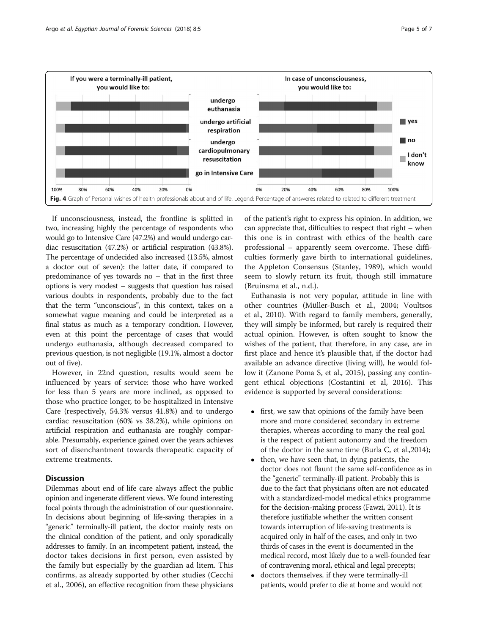

<span id="page-4-0"></span>

If unconsciousness, instead, the frontline is splitted in two, increasing highly the percentage of respondents who would go to Intensive Care (47.2%) and would undergo cardiac resuscitation (47.2%) or artificial respiration (43.8%). The percentage of undecided also increased (13.5%, almost a doctor out of seven): the latter date, if compared to predominance of yes towards no – that in the first three options is very modest – suggests that question has raised various doubts in respondents, probably due to the fact that the term "unconscious", in this context, takes on a somewhat vague meaning and could be interpreted as a final status as much as a temporary condition. However, even at this point the percentage of cases that would undergo euthanasia, although decreased compared to previous question, is not negligible (19.1%, almost a doctor out of five).

However, in 22nd question, results would seem be influenced by years of service: those who have worked for less than 5 years are more inclined, as opposed to those who practice longer, to be hospitalized in Intensive Care (respectively, 54.3% versus 41.8%) and to undergo cardiac resuscitation (60% vs 38.2%), while opinions on artificial respiration and euthanasia are roughly comparable. Presumably, experience gained over the years achieves sort of disenchantment towards therapeutic capacity of extreme treatments.

## **Discussion**

Dilemmas about end of life care always affect the public opinion and ingenerate different views. We found interesting focal points through the administration of our questionnaire. In decisions about beginning of life-saving therapies in a "generic" terminally-ill patient, the doctor mainly rests on the clinical condition of the patient, and only sporadically addresses to family. In an incompetent patient, instead, the doctor takes decisions in first person, even assisted by the family but especially by the guardian ad litem. This confirms, as already supported by other studies (Cecchi et al., [2006](#page-5-0)), an effective recognition from these physicians of the patient's right to express his opinion. In addition, we can appreciate that, difficulties to respect that right – when this one is in contrast with ethics of the health care professional – apparently seem overcome. These difficulties formerly gave birth to international guidelines, the Appleton Consensus (Stanley, [1989](#page-6-0)), which would seem to slowly return its fruit, though still immature (Bruinsma et al., [n.d.](#page-5-0)).

Euthanasia is not very popular, attitude in line with other countries (Müller-Busch et al., [2004](#page-5-0); Voultsos et al., [2010\)](#page-6-0). With regard to family members, generally, they will simply be informed, but rarely is required their actual opinion. However, is often sought to know the wishes of the patient, that therefore, in any case, are in first place and hence it's plausible that, if the doctor had available an advance directive (living will), he would follow it (Zanone Poma S, et al., [2015](#page-6-0)), passing any contingent ethical objections (Costantini et al, [2016](#page-5-0)). This evidence is supported by several considerations:

- first, we saw that opinions of the family have been more and more considered secondary in extreme therapies, whereas according to many the real goal is the respect of patient autonomy and the freedom of the doctor in the same time (Burla C, et al.,[2014](#page-5-0));
- then, we have seen that, in dying patients, the doctor does not flaunt the same self-confidence as in the "generic" terminally-ill patient. Probably this is due to the fact that physicians often are not educated with a standardized-model medical ethics programme for the decision-making process (Fawzi, [2011\)](#page-5-0). It is therefore justifiable whether the written consent towards interruption of life-saving treatments is acquired only in half of the cases, and only in two thirds of cases in the event is documented in the medical record, most likely due to a well-founded fear of contravening moral, ethical and legal precepts;
- doctors themselves, if they were terminally-ill patients, would prefer to die at home and would not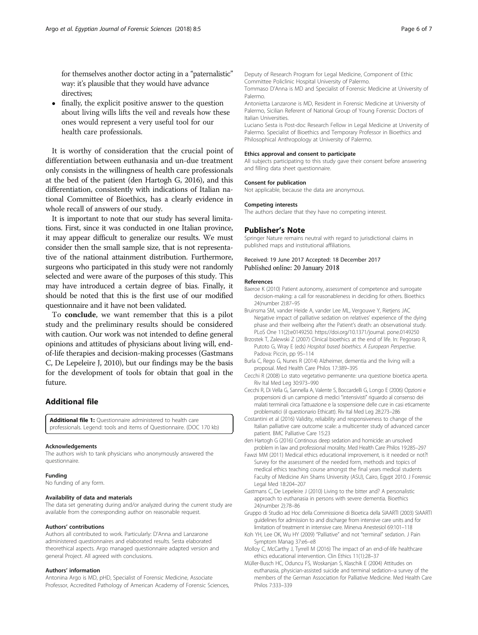<span id="page-5-0"></span>for themselves another doctor acting in a "paternalistic" way: it's plausible that they would have advance directives;

• finally, the explicit positive answer to the question about living wills lifts the veil and reveals how these ones would represent a very useful tool for our health care professionals.

It is worthy of consideration that the crucial point of differentiation between euthanasia and un-due treatment only consists in the willingness of health care professionals at the bed of the patient (den Hartogh G, 2016), and this differentiation, consistently with indications of Italian national Committee of Bioethics, has a clearly evidence in whole recall of answers of our study.

It is important to note that our study has several limitations. First, since it was conducted in one Italian province, it may appear difficult to generalize our results. We must consider then the small sample size, that is not representative of the national attainment distribution. Furthermore, surgeons who participated in this study were not randomly selected and were aware of the purposes of this study. This may have introduced a certain degree of bias. Finally, it should be noted that this is the first use of our modified questionnaire and it have not been validated.

To conclude, we want remember that this is a pilot study and the preliminary results should be considered with caution. Our work was not intended to define general opinions and attitudes of physicians about living will, endof-life therapies and decision-making processes (Gastmans C, De Lepeleire J, 2010), but our findings may be the basis for the development of tools for obtain that goal in the future.

### Additional file

[Additional file 1:](dx.doi.org/10.1186/s41935-017-0036-4) Questionnaire administered to health care professionals. Legend: tools and items of Questionnaire. (DOC 170 kb)

#### Acknowledgements

The authors wish to tank physicians who anonymously answered the questionnaire.

#### Funding

No funding of any form.

#### Availability of data and materials

The data set generating during and/or analyzed during the current study are available from the corresponding author on reasonable request.

#### Authors' contributions

Authors all contributed to work. Particularly: D'Anna and Lanzarone administered questionnaires and elaborated results. Sesta elaborated theorethical aspects. Argo managed questionnaire adapted version and general Project. All agreed with conclusions.

#### Authors' information

Antonina Argo is MD, pHD, Specialist of Forensic Medicine, Associate Professor, Accredited Pathology of American Academy of Forensic Sciences, Deputy of Research Program for Legal Medicine, Component of Ethic Committee Policlinic Hospital University of Palermo.

Tommaso D'Anna is MD and Specialist of Forensic Medicine at University of Palermo.

Antonietta Lanzarone is MD, Resident in Forensic Medicine at University of Palermo, Sicilian Referent of National Group of Young Forensic Doctors of Italian Universities.

Luciano Sesta is Post-doc Research Fellow in Legal Medicine at University of Palermo. Specialist of Bioethics and Temporary Professor in Bioethics and Philosophical Anthropology at University of Palermo.

#### Ethics approval and consent to participate

All subjects participating to this study gave their consent before answering and filling data sheet questionnaire.

#### Consent for publication

Not applicable, because the data are anonymous.

#### Competing interests

The authors declare that they have no competing interest.

#### Publisher's Note

Springer Nature remains neutral with regard to jurisdictional claims in published maps and institutional affiliations.

#### Received: 19 June 2017 Accepted: 18 December 2017 Published online: 20 January 2018

#### References

- Baeroe K (2010) Patient autonomy, assessment of competence and surrogate decision-making: a call for reasonableness in deciding for others. Bioethics 24(number 2):87–95
- Bruinsma SM, vander Heide A, vander Lee ML, Vergouwe Y, Rietjens JAC Negative impact of palliative sedation on relatives' experience of the dying phase and their wellbeing after the Patient's death: an observational study. PLoS One 11(2):e0149250. [https://doi.org/10.1371/journal. pone.0149250](http://dx.doi.org/10.1371/journal. pone.0149250)
- Brzostek T, Zalewski Z (2007) Clinical bioethics at the end of life. In: Pegoraro R, Putoto G, Wray E (eds) Hospital based bioethics. A European Perspective. Padova: Piccin, pp 95–114
- Burla C, Rego G, Nunes R (2014) Alzheimer, dementia and the living will: a proposal. Med Health Care Philos 17:389–395
- Cecchi R (2008) Lo stato vegetativo permanente: una questione bioetica aperta. Riv Ital Med Leg 30:973–990
- Cecchi R, Di Vella G, Sannella A, Valente S, Boccardelli G, Longo E (2006) Opzioni e propensioni di un campione di medici "intensivisti" riguardo al consenso dei malati terminali circa l'attuazione e la sospensione delle cure in casi eticamente problematici (il questionario Ethicatt). Riv Ital Med Leg 28:273–286
- Costantini et al (2016) Validity, reliability and responsiveness to change of the Italian palliative care outcome scale: a multicenter study of advanced cancer patient. BMC Palliative Care 15:23
- den Hartogh G (2016) Continous deep sedation and homicide: an unsolved problem in law and professional morality. Med Health Care Philos 19:285–297
- Fawzi MM (2011) Medical ethics educational improvement, is it needed or not?! Survey for the assessment of the needed form, methods and topics of medical ethics teaching course amongst the final years medical students Faculty of Medicine Ain Shams University (ASU), Cairo, Egypt 2010. J Forensic Legal Med 18:204–207
- Gastmans C, De Lepeleire J (2010) Living to the bitter and? A personalistic approach to euthanasia in persons with severe dementia. Bioethics 24(number 2):78–86
- Gruppo di Studio ad Hoc della Commissione di Bioetica della SIAARTI (2003) SIAARTI guidelines for admission to and discharge from intensive care units and for limitation of treatment in intensive care. Minerva Anestesiol 69:101–118
- Koh YH, Lee OK, Wu HY (2009) "Palliative" and not "terminal" sedation. J Pain Symptom Manag 37:e6–e8
- Molloy C, McCarthy J, Tyrrell M (2016) The impact of an end-of-life healthcare ethics educational intervention. Clin Ethics 11(1):28–37
- Müller-Busch HC, Oduncu FS, Woskanjan S, Klaschik E (2004) Attitudes on euthanasia, physician-assisted suicide and terminal sedation–a survey of the members of the German Association for Palliative Medicine. Med Health Care Philos 7:333–339